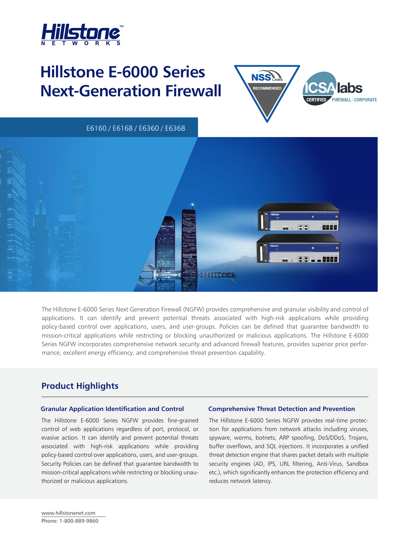

# **Hillstone E-6000 Series Next-Generation Firewall**



E6160 / E6168 / E6360 / E6368



The Hillstone E-6000 Series Next Generation Firewall (NGFW) provides comprehensive and granular visibility and control of applications. It can identify and prevent potential threats associated with high-risk applications while providing policy-based control over applications, users, and user-groups. Policies can be defined that guarantee bandwidth to mission-critical applications while restricting or blocking unauthorized or malicious applications. The Hillstone E-6000 Series NGFW incorporates comprehensive network security and advanced firewall features, provides superior price performance, excellent energy efficiency, and comprehensive threat prevention capability.

# **Product Highlights**

### **Granular Application Identification and Control Comprehensive Threat Detection and Prevention**

The Hillstone E-6000 Series NGFW provides fine-grained control of web applications regardless of port, protocol, or evasive action. It can identify and prevent potential threats associated with high-risk applications while providing policy-based control over applications, users, and user-groups. Security Policies can be defined that guarantee bandwidth to mission-critical applications while restricting or blocking unauthorized or malicious applications.

The Hillstone E-6000 Series NGFW provides real-time protection for applications from network attacks including viruses, spyware, worms, botnets, ARP spoofing, DoS/DDoS, Trojans, buffer overflows, and SQL injections. It incorporates a unified threat detection engine that shares packet details with multiple security engines (AD, IPS, URL filtering, Anti-Virus, Sandbox etc.), which significantly enhances the protection efficiency and reduces network latency.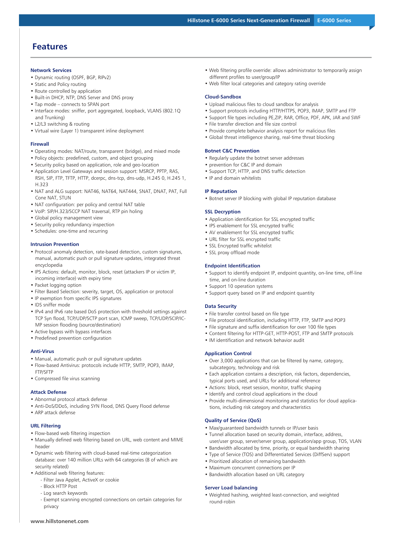# **Features**

#### **Network Services**

- Dynamic routing (OSPF, BGP, RIPv2)
- Static and Policy routing
- Route controlled by application
- Built-in DHCP, NTP, DNS Server and DNS proxy
- Tap mode connects to SPAN port
- Interface modes: sniffer, port aggregated, loopback, VLANS (802.1Q and Trunking)
- L2/L3 switching & routing
- Virtual wire (Layer 1) transparent inline deployment

#### **Firewall**

- Operating modes: NAT/route, transparent (bridge), and mixed mode
- Policy objects: predefined, custom, and object grouping
- Security policy based on application, role and geo-location
- Application Level Gateways and session support: MSRCP, PPTP, RAS, RSH, SIP, FTP, TFTP, HTTP, dcerpc, dns-tcp, dns-udp, H.245 0, H.245 1, H.323
- NAT and ALG support: NAT46, NAT64, NAT444, SNAT, DNAT, PAT, Full Cone NAT, STUN
- NAT configuration: per policy and central NAT table
- VoIP: SIP/H.323/SCCP NAT traversal, RTP pin holing
- Global policy management view
- Security policy redundancy inspection
- Schedules: one-time and recurring

#### **Intrusion Prevention**

- Protocol anomaly detection, rate-based detection, custom signatures, manual, automatic push or pull signature updates, integrated threat encyclopedia
- IPS Actions: default, monitor, block, reset (attackers IP or victim IP, incoming interface) with expiry time
- Packet logging option
- Filter Based Selection: severity, target, OS, application or protocol
- IP exemption from specific IPS signatures
- IDS sniffer mode
- IPv4 and IPv6 rate based DoS protection with threshold settings against TCP Syn flood, TCP/UDP/SCTP port scan, ICMP sweep, TCP/UDP/SCIP/IC-MP session flooding (source/destination)
- Active bypass with bypass interfaces
- Predefined prevention configuration

#### **Anti-Virus**

- Manual, automatic push or pull signature updates
- Flow-based Antivirus: protocols include HTTP, SMTP, POP3, IMAP, FTP/SFTP
- Compressed file virus scanning

#### **Attack Defense**

- Abnormal protocol attack defense
- Anti-DoS/DDoS, including SYN Flood, DNS Query Flood defense
- ARP attack defense

#### **URL Filtering**

- Flow-based web filtering inspection
- Manually defined web filtering based on URL, web content and MIME header
- Dynamic web filtering with cloud-based real-time categorization database: over 140 million URLs with 64 categories (8 of which are security related)
- Additional web filtering features:
	- Filter Java Applet, ActiveX or cookie
	- Block HTTP Post
	- Log search keywords
	- Exempt scanning encrypted connections on certain categories for privacy
- Web filtering profile override: allows administrator to temporarily assign different profiles to user/group/IP
- Web filter local categories and category rating override

#### **Cloud-Sandbox**

- Upload malicious files to cloud sandbox for analysis
- Support protocols including HTTP/HTTPS, POP3, IMAP, SMTP and FTP
- Support file types including PE,ZIP, RAR, Office, PDF, APK, JAR and SWF
- File transfer direction and file size control
- Provide complete behavior analysis report for malicious files
- Global threat intelligence sharing, real-time threat blocking

#### **Botnet C&C Prevention**

- Regularly update the botnet server addresses
- prevention for C&C IP and domain
- Support TCP, HTTP, and DNS traffic detection
- IP and domain whitelists

#### **IP Reputation**

• Botnet server IP blocking with global IP reputation database

#### **SSL Decryption**

- Application identification for SSL encrypted traffic
- IPS enablement for SSL encrypted traffic
- AV enablement for SSL encrypted traffic
- URL filter for SSL encrypted traffic
- SSL Encrypted traffic whitelist
- SSL proxy offload mode

#### **Endpoint Identification**

- Support to identify endpoint IP, endpoint quantity, on-line time, off-line time, and on-line duration
- Support 10 operation systems
- Support query based on IP and endpoint quantity

#### **Data Security**

- File transfer control based on file type
- File protocol identification, including HTTP, FTP, SMTP and POP3
- File signature and suffix identification for over 100 file types
- Content filtering for HTTP-GET, HTTP-POST, FTP and SMTP protocols
- IM identification and network behavior audit

#### **Application Control**

- Over 3,000 applications that can be filtered by name, category, subcategory, technology and risk
- Each application contains a description, risk factors, dependencies, typical ports used, and URLs for additional reference
- Actions: block, reset session, monitor, traffic shaping
- Identify and control cloud applications in the cloud
- Provide multi-dimensional monitoring and statistics for cloud applications, including risk category and characteristics

#### **Quality of Service (QoS)**

- Max/guaranteed bandwidth tunnels or IP/user basis
- Tunnel allocation based on security domain, interface, address, user/user group, server/server group, application/app group, TOS, VLAN
- Bandwidth allocated by time, priority, or equal bandwidth sharing
- Type of Service (TOS) and Differentiated Services (DiffServ) support
- Prioritized allocation of remaining bandwidth • Maximum concurrent connections per IP
- Bandwidth allocation based on URL category

#### **Server Load balancing**

• Weighted hashing, weighted least-connection, and weighted round-robin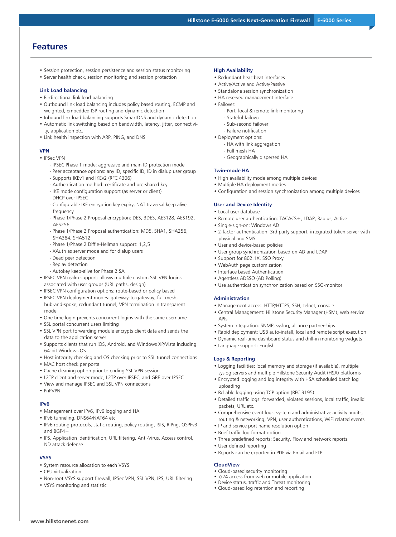# **Features**

- Session protection, session persistence and session status monitoring
- Server health check, session monitoring and session protection

#### **Link Load balancing**

- Bi-directional link load balancing
- Outbound link load balancing includes policy based routing, ECMP and weighted, embedded ISP routing and dynamic detection
- Inbound link load balancing supports SmartDNS and dynamic detection
- Automatic link switching based on bandwidth, latency, jitter, connectivity, application etc.
- Link health inspection with ARP, PING, and DNS

#### **VPN**

- IPSec VPN
	- IPSEC Phase 1 mode: aggressive and main ID protection mode
	- Peer acceptance options: any ID, specific ID, ID in dialup user group - Supports IKEv1 and IKEv2 (RFC 4306)
	- Authentication method: certificate and pre-shared key
	- IKE mode configuration support (as server or client)
	- DHCP over IPSEC
	- Configurable IKE encryption key expiry, NAT traversal keep alive frequency
	- Phase 1/Phase 2 Proposal encryption: DES, 3DES, AES128, AES192, AES256
	- Phase 1/Phase 2 Proposal authentication: MD5, SHA1, SHA256, SHA384, SHA512
	- Phase 1/Phase 2 Diffie-Hellman support: 1,2,5
	- XAuth as server mode and for dialup users
	- Dead peer detection
	- Replay detection
	- Autokey keep-alive for Phase 2 SA
- IPSEC VPN realm support: allows multiple custom SSL VPN logins associated with user groups (URL paths, design)
- IPSEC VPN configuration options: route-based or policy based
- IPSEC VPN deployment modes: gateway-to-gateway, full mesh, hub-and-spoke, redundant tunnel, VPN termination in transparent mode
- One time login prevents concurrent logins with the same username
- SSL portal concurrent users limiting
- SSL VPN port forwarding module encrypts client data and sends the data to the application server
- Supports clients that run iOS, Android, and Windows XP/Vista including 64-bit Windows OS
- Host integrity checking and OS checking prior to SSL tunnel connections
- MAC host check per portal
- Cache cleaning option prior to ending SSL VPN session
- L2TP client and server mode, L2TP over IPSEC, and GRE over IPSEC
- View and manage IPSEC and SSL VPN connections
- PnPVPN

#### **IPv6**

- Management over IPv6, IPv6 logging and HA
- IPv6 tunneling, DNS64/NAT64 etc
- IPv6 routing protocols, static routing, policy routing, ISIS, RIPng, OSPFv3 and BGP4+
- IPS, Application identification, URL filtering, Anti-Virus, Access control, ND attack defense

#### **VSYS**

- System resource allocation to each VSYS
- CPU virtualization

**www.hillstonenet.com**

- Non-root VSYS support firewall, IPSec VPN, SSL VPN, IPS, URL filtering
- VSYS monitoring and statistic

#### **High Availability**

- Redundant heartbeat interfaces
- Active/Active and Active/Passive
- Standalone session synchronization
- HA reserved management interface
- Failover:
	- Port, local & remote link monitoring
	- Stateful failover
	- Sub-second failover
	- Failure notification
- Deployment options:
	- HA with link aggregation
	- Full mesh HA
	- Geographically dispersed HA

#### **Twin-mode HA**

- High availability mode among multiple devices
- Multiple HA deployment modes
- Configuration and session synchronization among multiple devices

#### **User and Device Identity**

- Local user database
- Remote user authentication: TACACS+, LDAP, Radius, Active
- Single-sign-on: Windows AD
- 2-factor authentication: 3rd party support, integrated token server with physical and SMS
- User and device-based policies
- User group synchronization based on AD and LDAP
- Support for 802.1X, SSO Proxy
- WebAuth page customization
- Interface based Authentication
- Agentless ADSSO (AD Polling)
- Use authentication synchronization based on SSO-monitor

#### **Administration**

- Management access: HTTP/HTTPS, SSH, telnet, console
- Central Management: Hillstone Security Manager (HSM), web service APIs
- System Integration: SNMP, syslog, alliance partnerships
- Rapid deployment: USB auto-install, local and remote script execution
- Dynamic real-time dashboard status and drill-in monitoring widgets
- Language support: English

#### **Logs & Reporting**

- Logging facilities: local memory and storage (if available), multiple syslog servers and multiple Hillstone Security Audit (HSA) platforms
- Encrypted logging and log integrity with HSA scheduled batch log uploading
- Reliable logging using TCP option (RFC 3195)
- Detailed traffic logs: forwarded, violated sessions, local traffic, invalid packets, URL etc.
- Comprehensive event logs: system and administrative activity audits, routing & networking, VPN, user authentications, WiFi related events
- IP and service port name resolution option
- Brief traffic log format option
- Three predefined reports: Security, Flow and network reports
- User defined reporting
- Reports can be exported in PDF via Email and FTP

#### **CloudView**

- Cloud-based security monitoring
- 7/24 access from web or mobile application
- Device status, traffic and Threat monitoring • Cloud-based log retention and reporting